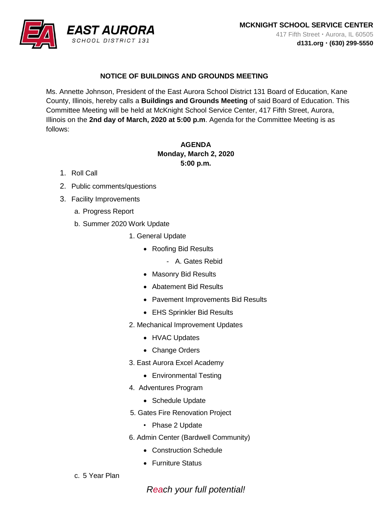

## **NOTICE OF BUILDINGS AND GROUNDS MEETING**

Ms. Annette Johnson, President of the East Aurora School District 131 Board of Education, Kane County, Illinois, hereby calls a **Buildings and Grounds Meeting** of said Board of Education. This Committee Meeting will be held at McKnight School Service Center, 417 Fifth Street, Aurora, Illinois on the **2nd day of March, 2020 at 5:00 p.m**. Agenda for the Committee Meeting is as follows:

## **AGENDA Monday, March 2, 2020 5:00 p.m.**

- 1. Roll Call
- 2. Public comments/questions
- 3. Facility Improvements
	- a. Progress Report
	- b. Summer 2020 Work Update
		- 1. General Update
			- Roofing Bid Results
				- A. Gates Rebid
			- Masonry Bid Results
			- Abatement Bid Results
			- Pavement Improvements Bid Results
			- EHS Sprinkler Bid Results
		- 2. Mechanical Improvement Updates
			- HVAC Updates
			- Change Orders
		- 3. East Aurora Excel Academy
			- Environmental Testing
		- 4. Adventures Program
			- Schedule Update
		- 5. Gates Fire Renovation Project
			- Phase 2 Update
		- 6. Admin Center (Bardwell Community)
			- Construction Schedule
			- Furniture Status
	- c. 5 Year Plan

*Reach your full potential!*